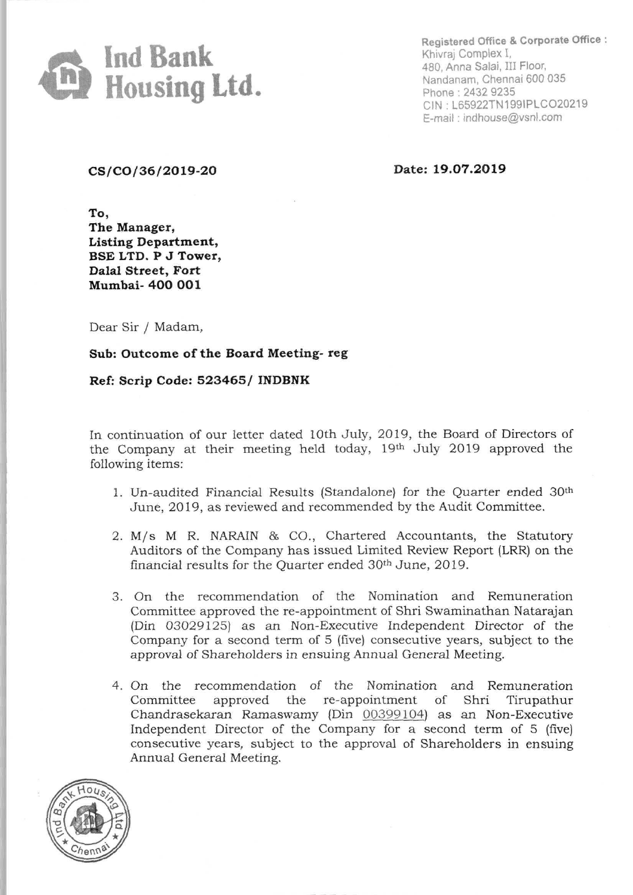

**Registered Office & Corporate Office :**  Khivraj Complex I, 480, Anna Salai, III Floor, Nandanam, Chennai 600 035 Phone : 2432 9235 CIN. L65922TN1991PLC020219 E-mail : indhouse@vsnl.com

CS/CO/36/2019-20 **Date: 19.07.2019** 

**To, The Manager, Listing Department, BSE LTD. P J Tower, Dalal Street, Fort Mumbai- 400 001** 

Dear Sir / Madam,

**Sub: Outcome of the Board Meeting- reg** 

**Ref: Scrip Code: 523465** *I* **INDBNK** 

In continuation of our letter dated 10th July, 2019, the Board of Directors of the Company at their meeting held today, 19th July 2019 approved the following items:

- 1. Un-audited Financial Results (Standalone) for the Quarter ended 30th June, 2019, as reviewed and recommended by the Audit Committee.
- 2. M/s M R. NARAIN & CO., Chartered Accountants, the Statutory Auditors of the Company has issued Limited Review Report (LRR) on the financial results for the Quarter ended 30th June, 2019.
- 3. On the recommendation of the Nomination and Remuneration Committee approved the re-appointment of Shri Swaminathan Natarajan (Din 03029125) as an Non-Executive Independent Director of the Company for a second term of 5 (five) consecutive years, subject to the approval of Shareholders in ensuing Annual General Meeting.
- 4. On the recommendation of the Nomination and Remuneration Committee approved the re-appointment of Shri Tirupathur Chandrasekaran Ramaswamy (Din 00399104) as an Non-Executive Independent Director of the Company for a second term of 5 (five) consecutive years, subject to the approval of Shareholders in ensuing Annual General Meeting.